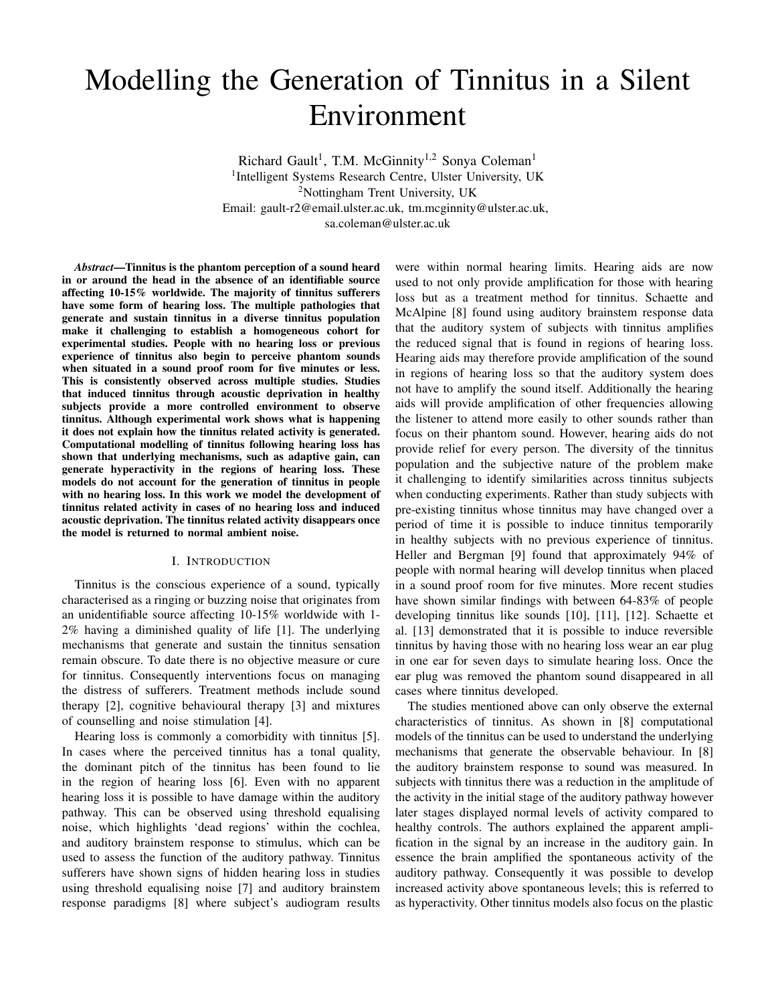# Modelling the Generation of Tinnitus in a Silent Environment

Richard Gault<sup>1</sup>, T.M. McGinnity<sup>1,2</sup> Sonya Coleman<sup>1</sup> <sup>1</sup>Intelligent Systems Research Centre, Ulster University, UK <sup>2</sup>Nottingham Trent University, UK Email: gault-r2@email.ulster.ac.uk, tm.mcginnity@ulster.ac.uk, sa.coleman@ulster.ac.uk

*Abstract*—Tinnitus is the phantom perception of a sound heard in or around the head in the absence of an identifiable source affecting 10-15% worldwide. The majority of tinnitus sufferers have some form of hearing loss. The multiple pathologies that generate and sustain tinnitus in a diverse tinnitus population make it challenging to establish a homogeneous cohort for experimental studies. People with no hearing loss or previous experience of tinnitus also begin to perceive phantom sounds when situated in a sound proof room for five minutes or less. This is consistently observed across multiple studies. Studies that induced tinnitus through acoustic deprivation in healthy subjects provide a more controlled environment to observe tinnitus. Although experimental work shows what is happening it does not explain how the tinnitus related activity is generated. Computational modelling of tinnitus following hearing loss has shown that underlying mechanisms, such as adaptive gain, can generate hyperactivity in the regions of hearing loss. These models do not account for the generation of tinnitus in people with no hearing loss. In this work we model the development of tinnitus related activity in cases of no hearing loss and induced acoustic deprivation. The tinnitus related activity disappears once the model is returned to normal ambient noise.

#### I. INTRODUCTION

Tinnitus is the conscious experience of a sound, typically characterised as a ringing or buzzing noise that originates from an unidentifiable source affecting 10-15% worldwide with 1- 2% having a diminished quality of life [1]. The underlying mechanisms that generate and sustain the tinnitus sensation remain obscure. To date there is no objective measure or cure for tinnitus. Consequently interventions focus on managing the distress of sufferers. Treatment methods include sound therapy [2], cognitive behavioural therapy [3] and mixtures of counselling and noise stimulation [4].

Hearing loss is commonly a comorbidity with tinnitus [5]. In cases where the perceived tinnitus has a tonal quality, the dominant pitch of the tinnitus has been found to lie in the region of hearing loss [6]. Even with no apparent hearing loss it is possible to have damage within the auditory pathway. This can be observed using threshold equalising noise, which highlights 'dead regions' within the cochlea, and auditory brainstem response to stimulus, which can be used to assess the function of the auditory pathway. Tinnitus sufferers have shown signs of hidden hearing loss in studies using threshold equalising noise [7] and auditory brainstem response paradigms [8] where subject's audiogram results

were within normal hearing limits. Hearing aids are now used to not only provide amplification for those with hearing loss but as a treatment method for tinnitus. Schaette and McAlpine [8] found using auditory brainstem response data that the auditory system of subjects with tinnitus amplifies the reduced signal that is found in regions of hearing loss. Hearing aids may therefore provide amplification of the sound in regions of hearing loss so that the auditory system does not have to amplify the sound itself. Additionally the hearing aids will provide amplification of other frequencies allowing the listener to attend more easily to other sounds rather than focus on their phantom sound. However, hearing aids do not provide relief for every person. The diversity of the tinnitus population and the subjective nature of the problem make it challenging to identify similarities across tinnitus subjects when conducting experiments. Rather than study subjects with pre-existing tinnitus whose tinnitus may have changed over a period of time it is possible to induce tinnitus temporarily in healthy subjects with no previous experience of tinnitus. Heller and Bergman [9] found that approximately 94% of people with normal hearing will develop tinnitus when placed in a sound proof room for five minutes. More recent studies have shown similar findings with between 64-83% of people developing tinnitus like sounds [10], [11], [12]. Schaette et al. [13] demonstrated that it is possible to induce reversible tinnitus by having those with no hearing loss wear an ear plug in one ear for seven days to simulate hearing loss. Once the ear plug was removed the phantom sound disappeared in all cases where tinnitus developed.

The studies mentioned above can only observe the external characteristics of tinnitus. As shown in [8] computational models of the tinnitus can be used to understand the underlying mechanisms that generate the observable behaviour. In [8] the auditory brainstem response to sound was measured. In subjects with tinnitus there was a reduction in the amplitude of the activity in the initial stage of the auditory pathway however later stages displayed normal levels of activity compared to healthy controls. The authors explained the apparent amplification in the signal by an increase in the auditory gain. In essence the brain amplified the spontaneous activity of the auditory pathway. Consequently it was possible to develop increased activity above spontaneous levels; this is referred to as hyperactivity. Other tinnitus models also focus on the plastic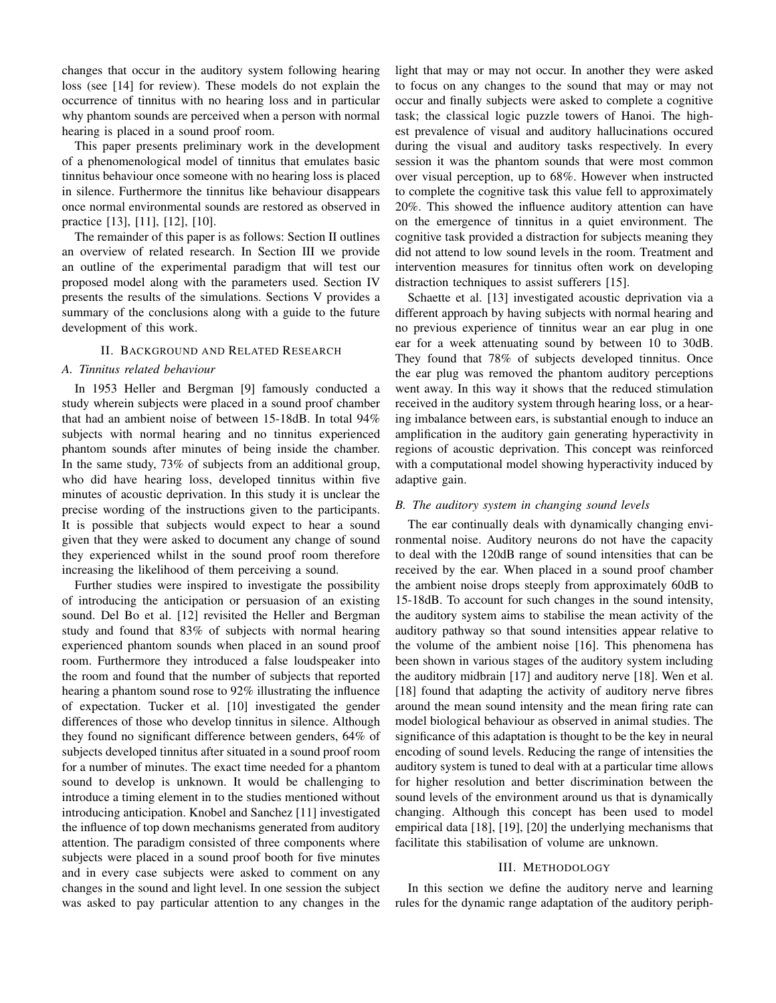changes that occur in the auditory system following hearing loss (see [14] for review). These models do not explain the occurrence of tinnitus with no hearing loss and in particular why phantom sounds are perceived when a person with normal hearing is placed in a sound proof room.

This paper presents preliminary work in the development of a phenomenological model of tinnitus that emulates basic tinnitus behaviour once someone with no hearing loss is placed in silence. Furthermore the tinnitus like behaviour disappears once normal environmental sounds are restored as observed in practice [13], [11], [12], [10].

The remainder of this paper is as follows: Section II outlines an overview of related research. In Section III we provide an outline of the experimental paradigm that will test our proposed model along with the parameters used. Section IV presents the results of the simulations. Sections V provides a summary of the conclusions along with a guide to the future development of this work.

#### II. BACKGROUND AND RELATED RESEARCH

## *A. Tinnitus related behaviour*

In 1953 Heller and Bergman [9] famously conducted a study wherein subjects were placed in a sound proof chamber that had an ambient noise of between 15-18dB. In total 94% subjects with normal hearing and no tinnitus experienced phantom sounds after minutes of being inside the chamber. In the same study, 73% of subjects from an additional group, who did have hearing loss, developed tinnitus within five minutes of acoustic deprivation. In this study it is unclear the precise wording of the instructions given to the participants. It is possible that subjects would expect to hear a sound given that they were asked to document any change of sound they experienced whilst in the sound proof room therefore increasing the likelihood of them perceiving a sound.

Further studies were inspired to investigate the possibility of introducing the anticipation or persuasion of an existing sound. Del Bo et al. [12] revisited the Heller and Bergman study and found that 83% of subjects with normal hearing experienced phantom sounds when placed in an sound proof room. Furthermore they introduced a false loudspeaker into the room and found that the number of subjects that reported hearing a phantom sound rose to 92% illustrating the influence of expectation. Tucker et al. [10] investigated the gender differences of those who develop tinnitus in silence. Although they found no significant difference between genders, 64% of subjects developed tinnitus after situated in a sound proof room for a number of minutes. The exact time needed for a phantom sound to develop is unknown. It would be challenging to introduce a timing element in to the studies mentioned without introducing anticipation. Knobel and Sanchez [11] investigated the influence of top down mechanisms generated from auditory attention. The paradigm consisted of three components where subjects were placed in a sound proof booth for five minutes and in every case subjects were asked to comment on any changes in the sound and light level. In one session the subject was asked to pay particular attention to any changes in the light that may or may not occur. In another they were asked to focus on any changes to the sound that may or may not occur and finally subjects were asked to complete a cognitive task; the classical logic puzzle towers of Hanoi. The highest prevalence of visual and auditory hallucinations occured during the visual and auditory tasks respectively. In every session it was the phantom sounds that were most common over visual perception, up to 68%. However when instructed to complete the cognitive task this value fell to approximately 20%. This showed the influence auditory attention can have on the emergence of tinnitus in a quiet environment. The cognitive task provided a distraction for subjects meaning they did not attend to low sound levels in the room. Treatment and intervention measures for tinnitus often work on developing distraction techniques to assist sufferers [15].

Schaette et al. [13] investigated acoustic deprivation via a different approach by having subjects with normal hearing and no previous experience of tinnitus wear an ear plug in one ear for a week attenuating sound by between 10 to 30dB. They found that 78% of subjects developed tinnitus. Once the ear plug was removed the phantom auditory perceptions went away. In this way it shows that the reduced stimulation received in the auditory system through hearing loss, or a hearing imbalance between ears, is substantial enough to induce an amplification in the auditory gain generating hyperactivity in regions of acoustic deprivation. This concept was reinforced with a computational model showing hyperactivity induced by adaptive gain.

### *B. The auditory system in changing sound levels*

The ear continually deals with dynamically changing environmental noise. Auditory neurons do not have the capacity to deal with the 120dB range of sound intensities that can be received by the ear. When placed in a sound proof chamber the ambient noise drops steeply from approximately 60dB to 15-18dB. To account for such changes in the sound intensity, the auditory system aims to stabilise the mean activity of the auditory pathway so that sound intensities appear relative to the volume of the ambient noise [16]. This phenomena has been shown in various stages of the auditory system including the auditory midbrain [17] and auditory nerve [18]. Wen et al. [18] found that adapting the activity of auditory nerve fibres around the mean sound intensity and the mean firing rate can model biological behaviour as observed in animal studies. The significance of this adaptation is thought to be the key in neural encoding of sound levels. Reducing the range of intensities the auditory system is tuned to deal with at a particular time allows for higher resolution and better discrimination between the sound levels of the environment around us that is dynamically changing. Although this concept has been used to model empirical data [18], [19], [20] the underlying mechanisms that facilitate this stabilisation of volume are unknown.

## III. METHODOLOGY

In this section we define the auditory nerve and learning rules for the dynamic range adaptation of the auditory periph-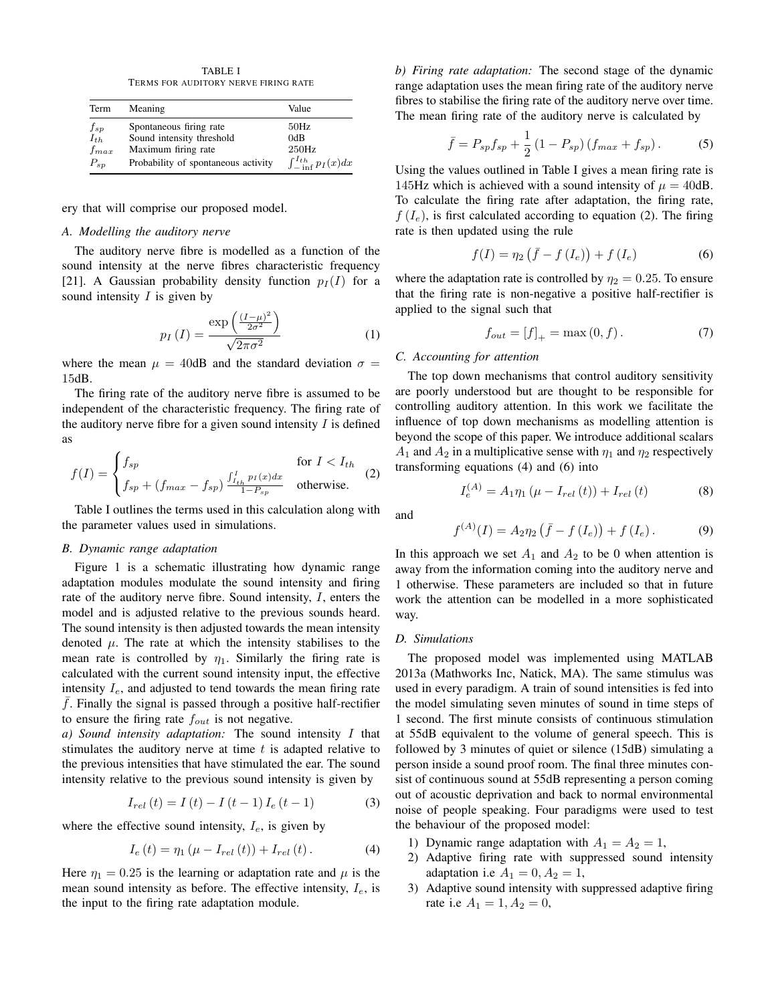TABLE I TERMS FOR AUDITORY NERVE FIRING RATE

| Term                                           | Meaning                                                    | Value                                       |
|------------------------------------------------|------------------------------------------------------------|---------------------------------------------|
| $\begin{array}{c} f_{sp} \ f_{th} \end{array}$ | Spontaneous firing rate<br>Sound intensity threshold       | 50Hz<br>0dB                                 |
| $f_{max}$<br>$P_{sp}$                          | Maximum firing rate<br>Probability of spontaneous activity | 250Hz<br>$\int_{-\ln f}^{I_{th}} p_I(x) dx$ |

ery that will comprise our proposed model.

## *A. Modelling the auditory nerve*

The auditory nerve fibre is modelled as a function of the sound intensity at the nerve fibres characteristic frequency [21]. A Gaussian probability density function  $p_I(I)$  for a sound intensity  $I$  is given by

$$
p_I\left(I\right) = \frac{\exp\left(\frac{\left(I-\mu\right)^2}{2\sigma^2}\right)}{\sqrt{2\pi\sigma^2}}\tag{1}
$$

where the mean  $\mu = 40$ dB and the standard deviation  $\sigma =$ 15dB.

The firing rate of the auditory nerve fibre is assumed to be independent of the characteristic frequency. The firing rate of the auditory nerve fibre for a given sound intensity  $I$  is defined as

$$
f(I) = \begin{cases} f_{sp} & \text{for } I < I_{th} \\ f_{sp} + (f_{max} - f_{sp}) \frac{\int_{I_{th}}^{I} p_I(x) dx}{1 - P_{sp}} & \text{otherwise.} \end{cases} \tag{2}
$$

Table I outlines the terms used in this calculation along with the parameter values used in simulations.

#### *B. Dynamic range adaptation*

Figure 1 is a schematic illustrating how dynamic range adaptation modules modulate the sound intensity and firing rate of the auditory nerve fibre. Sound intensity, I, enters the model and is adjusted relative to the previous sounds heard. The sound intensity is then adjusted towards the mean intensity denoted  $\mu$ . The rate at which the intensity stabilises to the mean rate is controlled by  $\eta_1$ . Similarly the firing rate is calculated with the current sound intensity input, the effective intensity  $I_e$ , and adjusted to tend towards the mean firing rate  $f$ . Finally the signal is passed through a positive half-rectifier to ensure the firing rate  $f_{out}$  is not negative.

*a) Sound intensity adaptation:* The sound intensity I that stimulates the auditory nerve at time  $t$  is adapted relative to the previous intensities that have stimulated the ear. The sound intensity relative to the previous sound intensity is given by

$$
I_{rel}(t) = I(t) - I(t-1)I_e(t-1)
$$
 (3)

where the effective sound intensity,  $I_e$ , is given by

$$
I_{e}(t) = \eta_{1} \left( \mu - I_{rel}(t) \right) + I_{rel}(t). \tag{4}
$$

Here  $\eta_1 = 0.25$  is the learning or adaptation rate and  $\mu$  is the mean sound intensity as before. The effective intensity,  $I_e$ , is the input to the firing rate adaptation module.

*b) Firing rate adaptation:* The second stage of the dynamic range adaptation uses the mean firing rate of the auditory nerve fibres to stabilise the firing rate of the auditory nerve over time. The mean firing rate of the auditory nerve is calculated by

$$
\bar{f} = P_{sp}f_{sp} + \frac{1}{2}(1 - P_{sp})(f_{max} + f_{sp}).
$$
 (5)

Using the values outlined in Table I gives a mean firing rate is 145Hz which is achieved with a sound intensity of  $\mu = 40$ dB. To calculate the firing rate after adaptation, the firing rate,  $f(I_e)$ , is first calculated according to equation (2). The firing rate is then updated using the rule

$$
f(I) = \eta_2 \left( \bar{f} - f\left( I_e \right) \right) + f\left( I_e \right) \tag{6}
$$

where the adaptation rate is controlled by  $\eta_2 = 0.25$ . To ensure that the firing rate is non-negative a positive half-rectifier is applied to the signal such that

$$
f_{out} = [f]_{+} = \max(0, f). \tag{7}
$$

#### *C. Accounting for attention*

The top down mechanisms that control auditory sensitivity are poorly understood but are thought to be responsible for controlling auditory attention. In this work we facilitate the influence of top down mechanisms as modelling attention is beyond the scope of this paper. We introduce additional scalars  $A_1$  and  $A_2$  in a multiplicative sense with  $\eta_1$  and  $\eta_2$  respectively transforming equations (4) and (6) into

$$
I_e^{(A)} = A_1 \eta_1 (\mu - I_{rel}(t)) + I_{rel}(t)
$$
 (8)

and

$$
f^{(A)}(I) = A_2 \eta_2 \left( \bar{f} - f\left( I_e \right) \right) + f\left( I_e \right). \tag{9}
$$

In this approach we set  $A_1$  and  $A_2$  to be 0 when attention is away from the information coming into the auditory nerve and 1 otherwise. These parameters are included so that in future work the attention can be modelled in a more sophisticated way.

#### *D. Simulations*

The proposed model was implemented using MATLAB 2013a (Mathworks Inc, Natick, MA). The same stimulus was used in every paradigm. A train of sound intensities is fed into the model simulating seven minutes of sound in time steps of 1 second. The first minute consists of continuous stimulation at 55dB equivalent to the volume of general speech. This is followed by 3 minutes of quiet or silence (15dB) simulating a person inside a sound proof room. The final three minutes consist of continuous sound at 55dB representing a person coming out of acoustic deprivation and back to normal environmental noise of people speaking. Four paradigms were used to test the behaviour of the proposed model:

- 1) Dynamic range adaptation with  $A_1 = A_2 = 1$ ,
- 2) Adaptive firing rate with suppressed sound intensity adaptation i.e  $A_1 = 0, A_2 = 1$ ,
- 3) Adaptive sound intensity with suppressed adaptive firing rate i.e  $A_1 = 1, A_2 = 0$ ,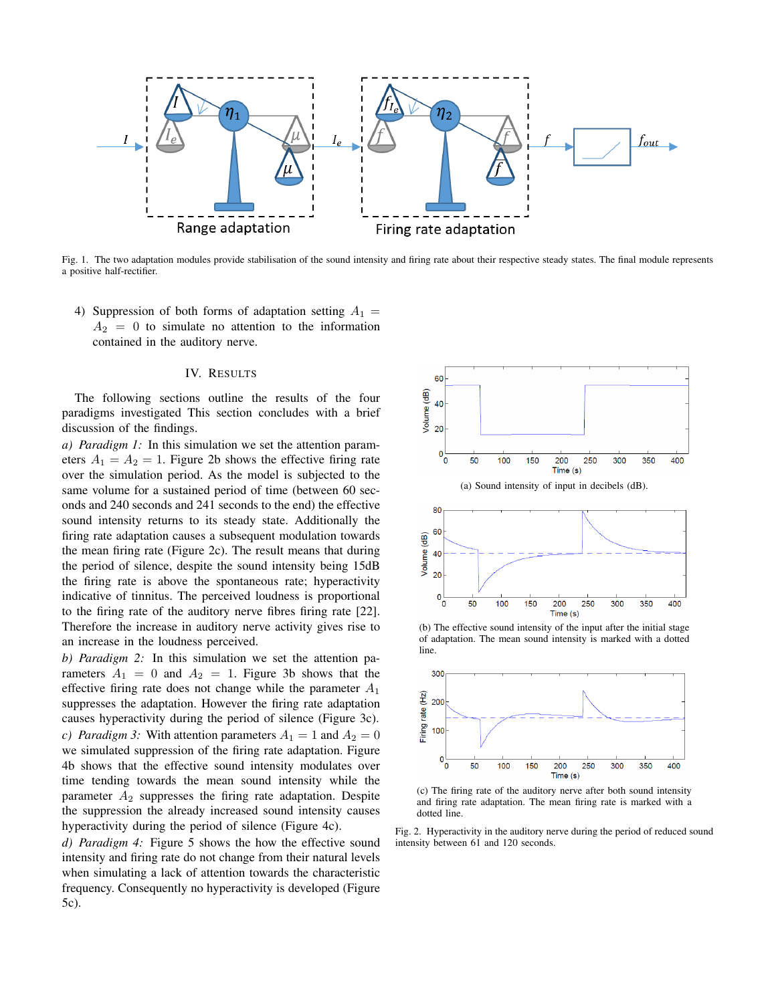

Fig. 1. The two adaptation modules provide stabilisation of the sound intensity and firing rate about their respective steady states. The final module represents a positive half-rectifier.

4) Suppression of both forms of adaptation setting  $A_1 =$  $A_2 = 0$  to simulate no attention to the information contained in the auditory nerve.

## IV. RESULTS

The following sections outline the results of the four paradigms investigated This section concludes with a brief discussion of the findings.

*a) Paradigm 1:* In this simulation we set the attention parameters  $A_1 = A_2 = 1$ . Figure 2b shows the effective firing rate over the simulation period. As the model is subjected to the same volume for a sustained period of time (between 60 seconds and 240 seconds and 241 seconds to the end) the effective sound intensity returns to its steady state. Additionally the firing rate adaptation causes a subsequent modulation towards the mean firing rate (Figure 2c). The result means that during the period of silence, despite the sound intensity being 15dB the firing rate is above the spontaneous rate; hyperactivity indicative of tinnitus. The perceived loudness is proportional to the firing rate of the auditory nerve fibres firing rate [22]. Therefore the increase in auditory nerve activity gives rise to an increase in the loudness perceived.

*b) Paradigm 2:* In this simulation we set the attention parameters  $A_1 = 0$  and  $A_2 = 1$ . Figure 3b shows that the effective firing rate does not change while the parameter  $A_1$ suppresses the adaptation. However the firing rate adaptation causes hyperactivity during the period of silence (Figure 3c). *c) Paradigm 3:* With attention parameters  $A_1 = 1$  and  $A_2 = 0$ we simulated suppression of the firing rate adaptation. Figure 4b shows that the effective sound intensity modulates over time tending towards the mean sound intensity while the parameter  $A_2$  suppresses the firing rate adaptation. Despite the suppression the already increased sound intensity causes hyperactivity during the period of silence (Figure 4c).

*d) Paradigm 4:* Figure 5 shows the how the effective sound intensity and firing rate do not change from their natural levels when simulating a lack of attention towards the characteristic frequency. Consequently no hyperactivity is developed (Figure 5c).





(b) The effective sound intensity of the input after the initial stage of adaptation. The mean sound intensity is marked with a dotted line.



(c) The firing rate of the auditory nerve after both sound intensity and firing rate adaptation. The mean firing rate is marked with a dotted line.

Fig. 2. Hyperactivity in the auditory nerve during the period of reduced sound intensity between 61 and 120 seconds.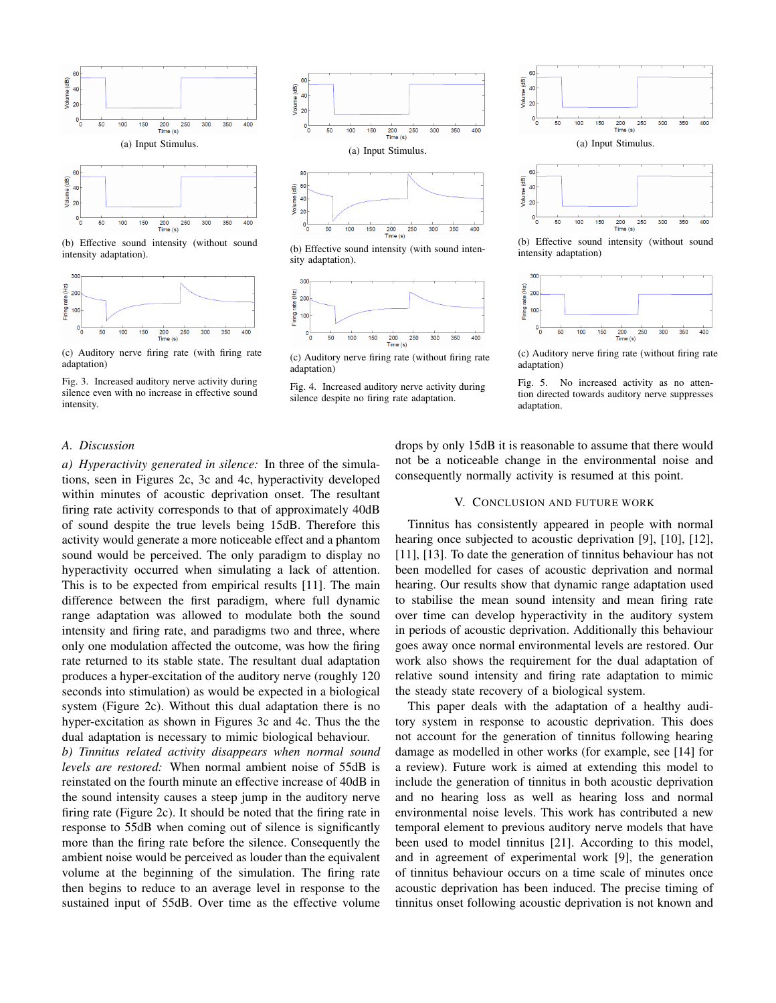

(b) Effective sound intensity (without sound intensity adaptation).





Fig. 3. Increased auditory nerve activity during silence even with no increase in effective sound intensity.



(b) Effective sound intensity (with sound intensity adaptation).



<sup>(</sup>c) Auditory nerve firing rate (without firing rate adaptation)





(b) Effective sound intensity (without sound intensity adaptation)



(c) Auditory nerve firing rate (without firing rate adaptation)



## *A. Discussion*

*a) Hyperactivity generated in silence:* In three of the simulations, seen in Figures 2c, 3c and 4c, hyperactivity developed within minutes of acoustic deprivation onset. The resultant firing rate activity corresponds to that of approximately 40dB of sound despite the true levels being 15dB. Therefore this activity would generate a more noticeable effect and a phantom sound would be perceived. The only paradigm to display no hyperactivity occurred when simulating a lack of attention. This is to be expected from empirical results [11]. The main difference between the first paradigm, where full dynamic range adaptation was allowed to modulate both the sound intensity and firing rate, and paradigms two and three, where only one modulation affected the outcome, was how the firing rate returned to its stable state. The resultant dual adaptation produces a hyper-excitation of the auditory nerve (roughly 120 seconds into stimulation) as would be expected in a biological system (Figure 2c). Without this dual adaptation there is no hyper-excitation as shown in Figures 3c and 4c. Thus the the dual adaptation is necessary to mimic biological behaviour.

*b) Tinnitus related activity disappears when normal sound levels are restored:* When normal ambient noise of 55dB is reinstated on the fourth minute an effective increase of 40dB in the sound intensity causes a steep jump in the auditory nerve firing rate (Figure 2c). It should be noted that the firing rate in response to 55dB when coming out of silence is significantly more than the firing rate before the silence. Consequently the ambient noise would be perceived as louder than the equivalent volume at the beginning of the simulation. The firing rate then begins to reduce to an average level in response to the sustained input of 55dB. Over time as the effective volume

drops by only 15dB it is reasonable to assume that there would not be a noticeable change in the environmental noise and consequently normally activity is resumed at this point.

#### V. CONCLUSION AND FUTURE WORK

Tinnitus has consistently appeared in people with normal hearing once subjected to acoustic deprivation [9], [10], [12], [11], [13]. To date the generation of tinnitus behaviour has not been modelled for cases of acoustic deprivation and normal hearing. Our results show that dynamic range adaptation used to stabilise the mean sound intensity and mean firing rate over time can develop hyperactivity in the auditory system in periods of acoustic deprivation. Additionally this behaviour goes away once normal environmental levels are restored. Our work also shows the requirement for the dual adaptation of relative sound intensity and firing rate adaptation to mimic the steady state recovery of a biological system.

This paper deals with the adaptation of a healthy auditory system in response to acoustic deprivation. This does not account for the generation of tinnitus following hearing damage as modelled in other works (for example, see [14] for a review). Future work is aimed at extending this model to include the generation of tinnitus in both acoustic deprivation and no hearing loss as well as hearing loss and normal environmental noise levels. This work has contributed a new temporal element to previous auditory nerve models that have been used to model tinnitus [21]. According to this model, and in agreement of experimental work [9], the generation of tinnitus behaviour occurs on a time scale of minutes once acoustic deprivation has been induced. The precise timing of tinnitus onset following acoustic deprivation is not known and

Fig. 4. Increased auditory nerve activity during silence despite no firing rate adaptation.